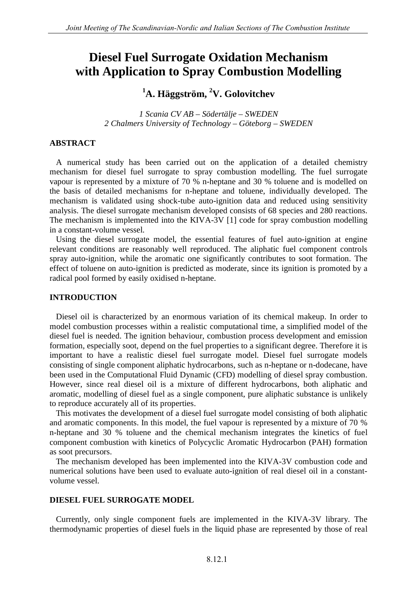# **Diesel Fuel Surrogate Oxidation Mechanism with Application to Spray Combustion Modelling**

# **<sup>1</sup>A. Häggström, <sup>2</sup>V. Golovitchev**

*1 Scania CV AB – Södertälje – SWEDEN 2 Chalmers University of Technology – Göteborg – SWEDEN*

## **ABSTRACT**

A numerical study has been carried out on the application of a detailed chemistry mechanism for diesel fuel surrogate to spray combustion modelling. The fuel surrogate vapour is represented by a mixture of 70 % n-heptane and 30 % toluene and is modelled on the basis of detailed mechanisms for n-heptane and toluene, individually developed. The mechanism is validated using shock-tube auto-ignition data and reduced using sensitivity analysis. The diesel surrogate mechanism developed consists of 68 species and 280 reactions. The mechanism is implemented into the KIVA-3V [1] code for spray combustion modelling in a constant-volume vessel.

Using the diesel surrogate model, the essential features of fuel auto-ignition at engine relevant conditions are reasonably well reproduced. The aliphatic fuel component controls spray auto-ignition, while the aromatic one significantly contributes to soot formation. The effect of toluene on auto-ignition is predicted as moderate, since its ignition is promoted by a radical pool formed by easily oxidised n-heptane.

# **INTRODUCTION**

Diesel oil is characterized by an enormous variation of its chemical makeup. In order to model combustion processes within a realistic computational time, a simplified model of the diesel fuel is needed. The ignition behaviour, combustion process development and emission formation, especially soot, depend on the fuel properties to a significant degree. Therefore it is important to have a realistic diesel fuel surrogate model. Diesel fuel surrogate models consisting of single component aliphatic hydrocarbons, such as n-heptane or n-dodecane, have been used in the Computational Fluid Dynamic (CFD) modelling of diesel spray combustion. However, since real diesel oil is a mixture of different hydrocarbons, both aliphatic and aromatic, modelling of diesel fuel as a single component, pure aliphatic substance is unlikely to reproduce accurately all of its properties.

This motivates the development of a diesel fuel surrogate model consisting of both aliphatic and aromatic components. In this model, the fuel vapour is represented by a mixture of 70 % n-heptane and 30 % toluene and the chemical mechanism integrates the kinetics of fuel component combustion with kinetics of Polycyclic Aromatic Hydrocarbon (PAH) formation as soot precursors.

The mechanism developed has been implemented into the KIVA-3V combustion code and numerical solutions have been used to evaluate auto-ignition of real diesel oil in a constantvolume vessel.

### **DIESEL FUEL SURROGATE MODEL**

Currently, only single component fuels are implemented in the KIVA-3V library. The thermodynamic properties of diesel fuels in the liquid phase are represented by those of real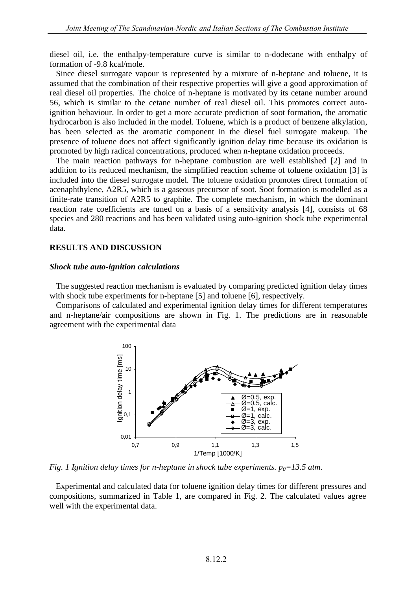diesel oil, i.e. the enthalpy-temperature curve is similar to n-dodecane with enthalpy of formation of -9.8 kcal/mole.

Since diesel surrogate vapour is represented by a mixture of n-heptane and toluene, it is assumed that the combination of their respective properties will give a good approximation of real diesel oil properties. The choice of n-heptane is motivated by its cetane number around 56, which is similar to the cetane number of real diesel oil. This promotes correct autoignition behaviour. In order to get a more accurate prediction of soot formation, the aromatic hydrocarbon is also included in the model. Toluene, which is a product of benzene alkylation, has been selected as the aromatic component in the diesel fuel surrogate makeup. The presence of toluene does not affect significantly ignition delay time because its oxidation is promoted by high radical concentrations, produced when n-heptane oxidation proceeds.

The main reaction pathways for n-heptane combustion are well established [2] and in addition to its reduced mechanism, the simplified reaction scheme of toluene oxidation [3] is included into the diesel surrogate model. The toluene oxidation promotes direct formation of acenaphthylene, A2R5, which is a gaseous precursor of soot. Soot formation is modelled as a finite-rate transition of A2R5 to graphite. The complete mechanism, in which the dominant reaction rate coefficients are tuned on a basis of a sensitivity analysis [4], consists of 68 species and 280 reactions and has been validated using auto-ignition shock tube experimental data.

#### **RESULTS AND DISCUSSION**

#### *Shock tube auto-ignition calculations*

The suggested reaction mechanism is evaluated by comparing predicted ignition delay times with shock tube experiments for n-heptane [5] and toluene [6], respectively.

Comparisons of calculated and experimental ignition delay times for different temperatures and n-heptane/air compositions are shown in Fig. 1. The predictions are in reasonable agreement with the experimental data



*Fig. 1 Ignition delay times for n-heptane in shock tube experiments. p0=13.5 atm.*

Experimental and calculated data for toluene ignition delay times for different pressures and compositions, summarized in Table 1, are compared in Fig. 2. The calculated values agree well with the experimental data.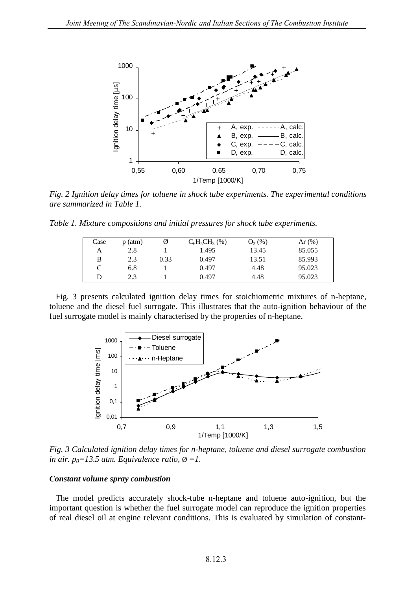

*Fig. 2 Ignition delay times for toluene in shock tube experiments. The experimental conditions are summarized in Table 1.*

*Table 1. Mixture compositions and initial pressures for shock tube experiments.*

| Case | $p$ (atm) |      | $C_6H_5CH_3(\% )$ | $O_2(\%)$ | Ar $(\%)$ |
|------|-----------|------|-------------------|-----------|-----------|
| А    | 2.8       |      | 1.495             | 13.45     | 85.055    |
| B    | 2.3       | 0.33 | 0.497             | 13.51     | 85.993    |
| C    | 6.8       |      | 0.497             | 4.48      | 95.023    |
| D    | 2.3       |      | 0.497             | 4.48      | 95.023    |

Fig. 3 presents calculated ignition delay times for stoichiometric mixtures of n-heptane, toluene and the diesel fuel surrogate. This illustrates that the auto-ignition behaviour of the fuel surrogate model is mainly characterised by the properties of n-heptane.



*Fig. 3 Calculated ignition delay times for n-heptane, toluene and diesel surrogate combustion in air.*  $p_0 = 13.5$  *atm. Equivalence ratio,*  $\emptyset = 1$ *.* 

#### *Constant volume spray combustion*

The model predicts accurately shock-tube n-heptane and toluene auto-ignition, but the important question is whether the fuel surrogate model can reproduce the ignition properties of real diesel oil at engine relevant conditions. This is evaluated by simulation of constant